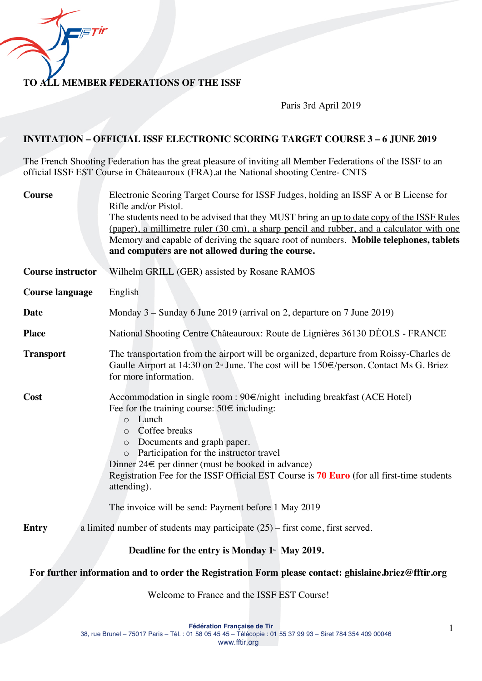**TO ALL MEMBER FEDERATIONS OF THE ISSF**

Paris 3rd April 2019

#### **INVITATION – OFFICIAL ISSF ELECTRONIC SCORING TARGET COURSE 3 – 6 JUNE 2019**

The French Shooting Federation has the great pleasure of inviting all Member Federations of the ISSF to an official ISSF EST Course in Châteauroux (FRA).at the National shooting Centre- CNTS

| <b>Course</b>            | Electronic Scoring Target Course for ISSF Judges, holding an ISSF A or B License for<br>Rifle and/or Pistol.                                                                                                                                                                                                                                                                                                                                                                                                                     |  |  |
|--------------------------|----------------------------------------------------------------------------------------------------------------------------------------------------------------------------------------------------------------------------------------------------------------------------------------------------------------------------------------------------------------------------------------------------------------------------------------------------------------------------------------------------------------------------------|--|--|
|                          | The students need to be advised that they MUST bring an up to date copy of the ISSF Rules                                                                                                                                                                                                                                                                                                                                                                                                                                        |  |  |
|                          | (paper), a millimetre ruler (30 cm), a sharp pencil and rubber, and a calculator with one                                                                                                                                                                                                                                                                                                                                                                                                                                        |  |  |
|                          | Memory and capable of deriving the square root of numbers. Mobile telephones, tablets<br>and computers are not allowed during the course.                                                                                                                                                                                                                                                                                                                                                                                        |  |  |
|                          |                                                                                                                                                                                                                                                                                                                                                                                                                                                                                                                                  |  |  |
| <b>Course instructor</b> | Wilhelm GRILL (GER) assisted by Rosane RAMOS                                                                                                                                                                                                                                                                                                                                                                                                                                                                                     |  |  |
| <b>Course language</b>   | English                                                                                                                                                                                                                                                                                                                                                                                                                                                                                                                          |  |  |
| <b>Date</b>              | Monday 3 – Sunday 6 June 2019 (arrival on 2, departure on 7 June 2019)                                                                                                                                                                                                                                                                                                                                                                                                                                                           |  |  |
| <b>Place</b>             | National Shooting Centre Châteauroux: Route de Lignières 36130 DÉOLS - FRANCE                                                                                                                                                                                                                                                                                                                                                                                                                                                    |  |  |
| <b>Transport</b>         | The transportation from the airport will be organized, departure from Roissy-Charles de<br>Gaulle Airport at 14:30 on $2⊪$ June. The cost will be 150€/person. Contact Ms G. Briez<br>for more information.                                                                                                                                                                                                                                                                                                                      |  |  |
| Cost                     | Accommodation in single room : $90 \in \sqrt{\frac{m}{m}}$ including breakfast (ACE Hotel)<br>Fee for the training course: $50 \in \text{including}$ :<br>Lunch<br>$\circ$<br>Coffee breaks<br>$\circ$<br>o Documents and graph paper.<br>Participation for the instructor travel<br>$\circ$<br>Dinner $24 \in \text{per dinner}$ (must be booked in advance)<br>Registration Fee for the ISSF Official EST Course is 70 Euro (for all first-time students<br>attending).<br>The invoice will be send: Payment before 1 May 2019 |  |  |
| <b>Entry</b>             | a limited number of students may participate $(25)$ – first come, first served.                                                                                                                                                                                                                                                                                                                                                                                                                                                  |  |  |
|                          |                                                                                                                                                                                                                                                                                                                                                                                                                                                                                                                                  |  |  |
|                          | Deadline for the entry is Monday 1 <sup>*</sup> May 2019.                                                                                                                                                                                                                                                                                                                                                                                                                                                                        |  |  |
|                          | For further information and to order the Registration Form please contact: ghislaine.briez@fftir.org                                                                                                                                                                                                                                                                                                                                                                                                                             |  |  |

Welcome to France and the ISSF EST Course!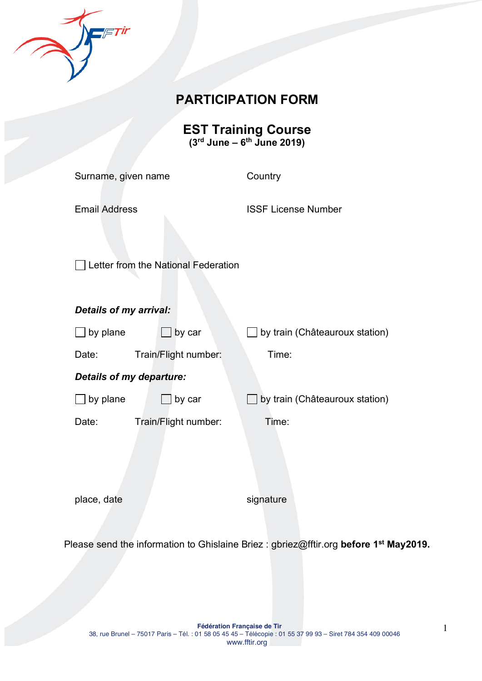

# **PARTICIPATION FORM**

**EST Training Course (3rd June – 6th June 2019)**

| Surname, given name                 |                      | Country                        |  |
|-------------------------------------|----------------------|--------------------------------|--|
| <b>Email Address</b>                |                      | <b>ISSF License Number</b>     |  |
| Letter from the National Federation |                      |                                |  |
| <b>Details of my arrival:</b>       |                      |                                |  |
| by plane                            | by car               | by train (Châteauroux station) |  |
| Date:                               | Train/Flight number: | Time:                          |  |
| <b>Details of my departure:</b>     |                      |                                |  |
| by plane                            | by car               | by train (Châteauroux station) |  |
| Date:                               | Train/Flight number: | Time:                          |  |
|                                     |                      |                                |  |
| place, date                         |                      | signature                      |  |

Please send the information to Ghislaine Briez : gbriez@fftir.org **before 1st May2019.**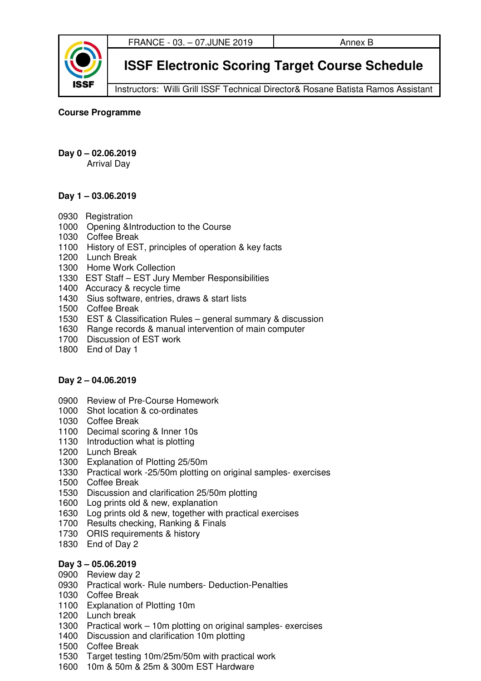

**ISSF Electronic Scoring Target Course Schedule** 

Instructors: Willi Grill ISSF Technical Director& Rosane Batista Ramos Assistant

**Course Programme** 

**Day 0 – 02.06.2019** 

Arrival Day

## **Day 1 – 03.06.2019**

- 0930 Registration
- 1000 Opening &Introduction to the Course
- 1030 Coffee Break
- 1100 History of EST, principles of operation & key facts
- 1200 Lunch Break
- 1300 Home Work Collection
- 1330 EST Staff EST Jury Member Responsibilities
- 1400 Accuracy & recycle time
- 1430 Sius software, entries, draws & start lists
- 1500 Coffee Break
- 1530 EST & Classification Rules general summary & discussion
- 1630 Range records & manual intervention of main computer
- 1700 Discussion of EST work
- 1800 End of Day 1

## **Day 2 – 04.06.2019**

- 0900 Review of Pre-Course Homework
- 1000 Shot location & co-ordinates
- 1030 Coffee Break
- 1100 Decimal scoring & Inner 10s
- 1130 Introduction what is plotting
- 1200 Lunch Break
- 1300 Explanation of Plotting 25/50m
- 1330 Practical work -25/50m plotting on original samples- exercises
- 1500 Coffee Break
- 1530 Discussion and clarification 25/50m plotting
- 1600 Log prints old & new, explanation
- 1630 Log prints old & new, together with practical exercises
- 1700 Results checking, Ranking & Finals
- 1730 ORIS requirements & history
- 1830 End of Day 2

## **Day 3 – 05.06.2019**

- 0900 Review day 2
- 0930 Practical work- Rule numbers- Deduction-Penalties
- 1030 Coffee Break
- 1100 Explanation of Plotting 10m
- 1200 Lunch break
- 1300 Practical work 10m plotting on original samples- exercises
- 1400 Discussion and clarification 10m plotting
- 1500 Coffee Break
- 1530 Target testing 10m/25m/50m with practical work
- 1600 10m & 50m & 25m & 300m EST Hardware